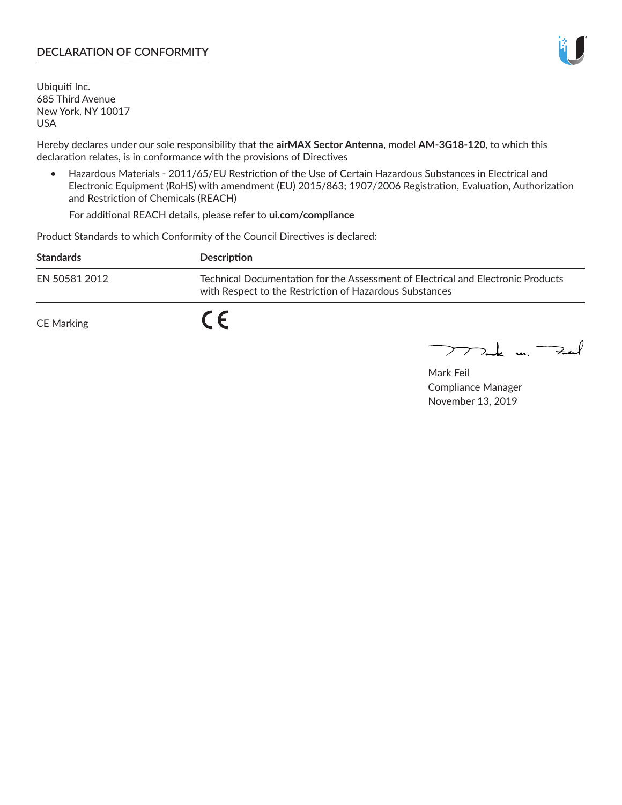## **DECLARATION OF CONFORMITY**

Ubiquiti Inc. 685 Third Avenue New York, NY 10017 USA

Hereby declares under our sole responsibility that the **airMAX Sector Antenna**, model **AM-3G18-120**, to which this declaration relates, is in conformance with the provisions of Directives

• Hazardous Materials - 2011/65/EU Restriction of the Use of Certain Hazardous Substances in Electrical and Electronic Equipment (RoHS) with amendment (EU) 2015/863; 1907/2006 Registration, Evaluation, Authorization and Restriction of Chemicals (REACH)

For additional REACH details, please refer to **ui.com/compliance**

Product Standards to which Conformity of the Council Directives is declared:

| <b>Standards</b>  | Description                                                                                                                                 |
|-------------------|---------------------------------------------------------------------------------------------------------------------------------------------|
| EN 50581 2012     | Technical Documentation for the Assessment of Electrical and Electronic Products<br>with Respect to the Restriction of Hazardous Substances |
| <b>CE Marking</b> |                                                                                                                                             |

 $\sum_{n=1}^{\infty}$  un  $\sum_{n=1}^{\infty}$ 

Mark Feil Compliance Manager November 13, 2019

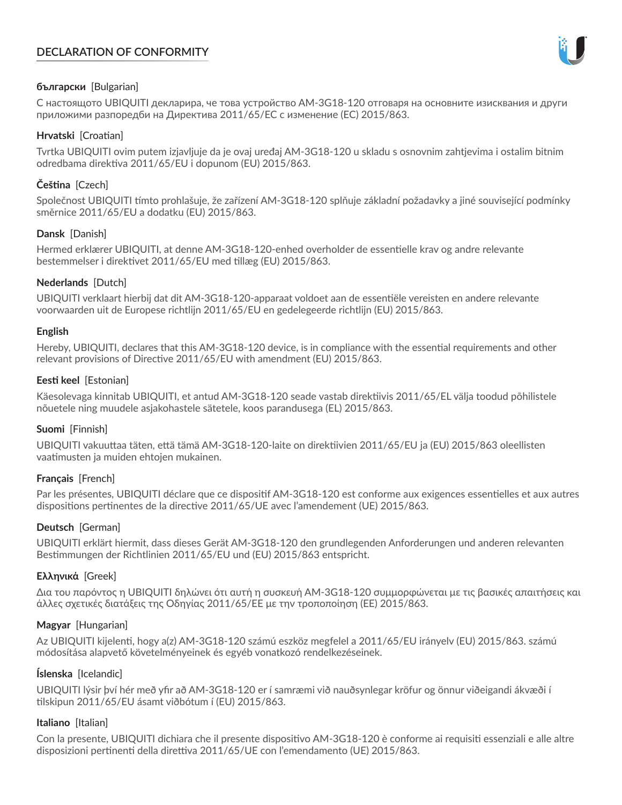# **DECLARATION OF CONFORMITY**



## **български** [Bulgarian]

С настоящото UBIQUITI декларира, че това устройство AM-3G18-120 отговаря на основните изисквания и други приложими разпоредби на Директива 2011/65/ЕС с изменение (ЕС) 2015/863.

## **Hrvatski** [Croatian]

Tvrtka UBIQUITI ovim putem izjavljuje da je ovaj uređaj AM-3G18-120 u skladu s osnovnim zahtjevima i ostalim bitnim odredbama direktiva 2011/65/EU i dopunom (EU) 2015/863.

# **Čeština** [Czech]

Společnost UBIQUITI tímto prohlašuje, že zařízení AM-3G18-120 splňuje základní požadavky a jiné související podmínky směrnice 2011/65/EU a dodatku (EU) 2015/863.

### **Dansk** [Danish]

Hermed erklærer UBIQUITI, at denne AM-3G18-120-enhed overholder de essentielle krav og andre relevante bestemmelser i direktivet 2011/65/EU med tillæg (EU) 2015/863.

### **Nederlands** [Dutch]

UBIQUITI verklaart hierbij dat dit AM-3G18-120-apparaat voldoet aan de essentiële vereisten en andere relevante voorwaarden uit de Europese richtlijn 2011/65/EU en gedelegeerde richtlijn (EU) 2015/863.

#### **English**

Hereby, UBIQUITI, declares that this AM-3G18-120 device, is in compliance with the essential requirements and other relevant provisions of Directive 2011/65/EU with amendment (EU) 2015/863.

### **Eesti keel** [Estonian]

Käesolevaga kinnitab UBIQUITI, et antud AM-3G18-120 seade vastab direktiivis 2011/65/EL välja toodud põhilistele nõuetele ning muudele asjakohastele sätetele, koos parandusega (EL) 2015/863.

#### **Suomi** [Finnish]

UBIQUITI vakuuttaa täten, että tämä AM-3G18-120-laite on direktiivien 2011/65/EU ja (EU) 2015/863 oleellisten vaatimusten ja muiden ehtojen mukainen.

#### **Français** [French]

Par les présentes, UBIQUITI déclare que ce dispositif AM-3G18-120 est conforme aux exigences essentielles et aux autres dispositions pertinentes de la directive 2011/65/UE avec l'amendement (UE) 2015/863.

## **Deutsch** [German]

UBIQUITI erklärt hiermit, dass dieses Gerät AM-3G18-120 den grundlegenden Anforderungen und anderen relevanten Bestimmungen der Richtlinien 2011/65/EU und (EU) 2015/863 entspricht.

#### **Ελληνικά** [Greek]

Δια του παρόντος η UBIQUITI δηλώνει ότι αυτή η συσκευή AM-3G18-120 συμμορφώνεται με τις βασικές απαιτήσεις και άλλες σχετικές διατάξεις της Οδηγίας 2011/65/ΕΕ με την τροποποίηση (ΕΕ) 2015/863.

#### **Magyar** [Hungarian]

Az UBIQUITI kijelenti, hogy a(z) AM-3G18-120 számú eszköz megfelel a 2011/65/EU irányelv (EU) 2015/863. számú módosítása alapvető követelményeinek és egyéb vonatkozó rendelkezéseinek.

#### **Íslenska** [Icelandic]

UBIQUITI lýsir því hér með yfir að AM-3G18-120 er í samræmi við nauðsynlegar kröfur og önnur viðeigandi ákvæði í tilskipun 2011/65/EU ásamt viðbótum í (EU) 2015/863.

#### **Italiano** [Italian]

Con la presente, UBIQUITI dichiara che il presente dispositivo AM-3G18-120 è conforme ai requisiti essenziali e alle altre disposizioni pertinenti della direttiva 2011/65/UE con l'emendamento (UE) 2015/863.